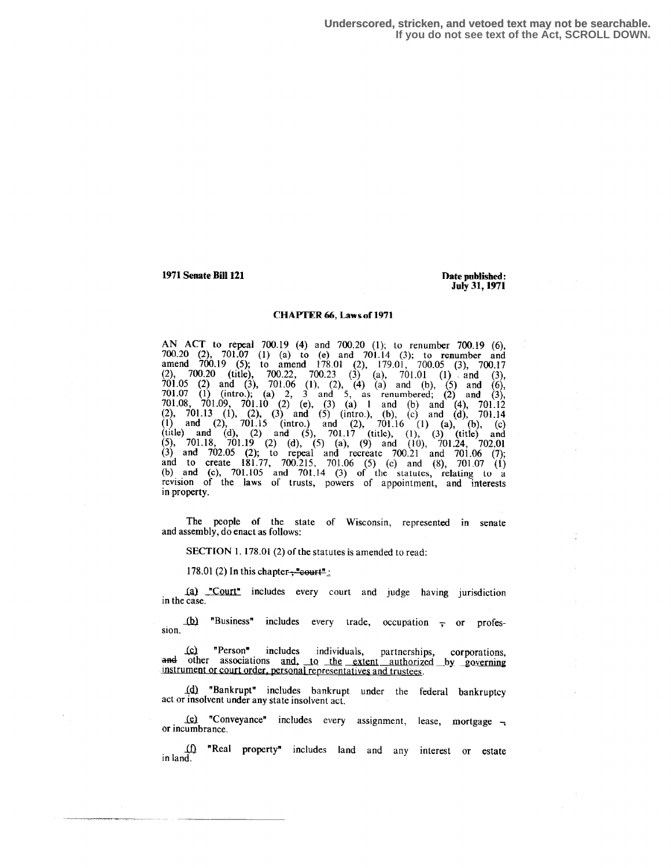**Underscored, stricken, and vetoed text may not be searchable. If you do not see text of the Act, SCROLL DOWN.**

1971 Senate Bill 121 **Pate 121 Pate 121 Date published:** 

July 31, 1971

#### CHAPTER 66, Laws of 1971

AN ACT to repeal 700.19 (4) and 700.20 (1); to renumber 700.19 (6), 700.20 (2), 701.07 (1) (a) to (e) and 701.14 (3); to renumber and amend 700.19 (5), to amend 178.01 (2), 179.01, 700.05 (3), 700.17  $(2)$ ,  $700.20$  (title),  $700.22$ ,  $700.23$  (3) (a),  $701.01$  (1) and (3),  $701.05$  (2) and (3),  $701.06$  (1), (2), (4) (a) and (b), (5) and (6), 701.07 (1) (intro.); (a) 2, 3 and 5, as renumbered; (2) and (3),  $701.09 \div 701.09 \div 701.09$  $701.08$ ,  $701.09$ ,  $701.10$   $(2)$  (e),  $(3)$   $(1)$  and  $(6)$  and  $(4)$ ,  $701.12$ (2), 701.13 (1), (2), (3) and (5) (intro.), (b), (c) and (d), 701.14 (1) and (2), 701.15 (intro.) and (2), 701.16 (1) (a), (b), (c) (title) and (d), (2) and (5), 701.17 (title), (1), (3) (title) and (5), 701.18  $(3)$ (5), 701.18, 701.19 (2) (d), (5) (a), (9) and (10), 701.24, 702.01 (3) and 702.05 (2); to repeal and recreate 700.21 and 701.06 (7); and to create 181.77, 700.215, 701.06 (5) (c) and (8), 701.07 (1) (b) and (c),  $701.105$  and  $701.14$  (3) of the statutes, relating to a revision of the laws of trusts, powers of appointment, and interests in property.

The people of the state of Wisconsin, represented in senate and assembly, do enact as follows:

SECTION 1.178.01 (2) of the statutes is amended to read:

178.01 (2) In this chapter- $\frac{m}{2}$  court<sup>n</sup>:

1a) "Court" includes every court and judge having jurisdiction in the case.

 $(b)$  "Business" includes every trade, occupation  $\overline{z}$  or profession.

(c) "Person" includes individuals, partnerships, corporations, and other associations and, to the extent authorized by governing instrument or court order, personal representatives and trustees.

10 "Bankrupt" includes bankrupt under the federal bankruptcy act or insolvent under any state insolvent act.

1e) "Conveyance" includes every assignment, lease, mortgage  $\rightarrow$ or incumbrance.

4 "Real property" includes land and any interest or estate in land.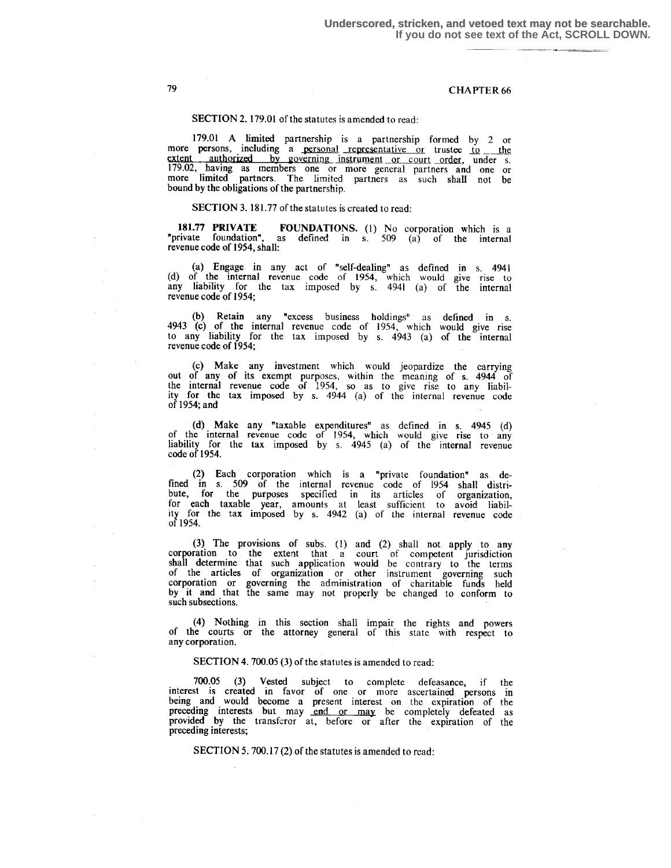#### SECTION 2. 179.01 of the statutes is amended to read:

179.01 A limited partnership is a partnership formed by 2 or more persons, including a personal representative or trustee to the extent authorized by governing instrument or court order, under s. 179.02, having as members one or more general partners and one or more limited partners. The limited partners as such shall not be bound by the obligations of the partnership.

#### SECTION 3. 181.77 of the statutes is created to read:

181.77 PRIVATE FOUNDATIONS. (1) No corporation which is a "private foundation", as defined in s. 509 (a) of the internal revenue code of 1954, shall:

(a) Engage in any act of "self-dealing" as defined in s.  $4941$ (d) of the internal revenue code of 1954, which would give rise to any liability for the tax imposed by s.  $4941$  (a) of the internal revenue code of 1954;

(b) Retain any "excess business holdings" as defined in s. 4943 (c) of the internal revenue code of 1954, which would give rise to any hability for the tax imposed by s. 4943 (a) of the internal revenue code of 1954;

(c) Make any investment which would jeopardize the carrying out of any of its exempt purposes, within the meaning of s . 4944 of the internal revenue code of 1954, so as to give rise to any liability for the tax imposed by s . 4944 (a) of the internal revenue code of 1954; and

(d) Make any "taxable expenditures" as defined in s. 4945 (d) of the internal revenue code of 1954, which would give rise to any liability for the tax imposed by s.  $4945$  (a) of the internal revenue code of 1954.

(2) Each corporation which is a "private foundation" as defined in s . 509 of the internal revenue code of 1954 shall distribute, for the purposes specified in its articles of organization, for each taxable year, amounts at least sufficient to avoid liability for the tax imposed by s . 4942 (a) of the internal revenue code of 1954.

(3) The provisions of subs . (1) and (2) shall not apply to any corporation to the extent that a court of competent jurisdiction shall determine that such application would be contrary to the terms of the articles of organization or other instrument governing such corporation or governing the administration of charitable funds held by it and that the same may not properly be changed to conform to such subsections.

(4) Nothing in this section shall impair the rights and powers of the courts or the attorney general of this state with respect to any corporation.

#### SECTION 4. 700.05 (3) of the statutes is amended to read :

700.05 (3) Vested subject to complete defeasance, if the interest is created in favor of one or more ascertained persons in being and would become a present interest on the expiration of the preceding interests but may end or may be completely defeated as provided by the transferor at, before or after the expiration of the preceding interests ;

SECTION 5.700.17(2) of the statutes is amended to read: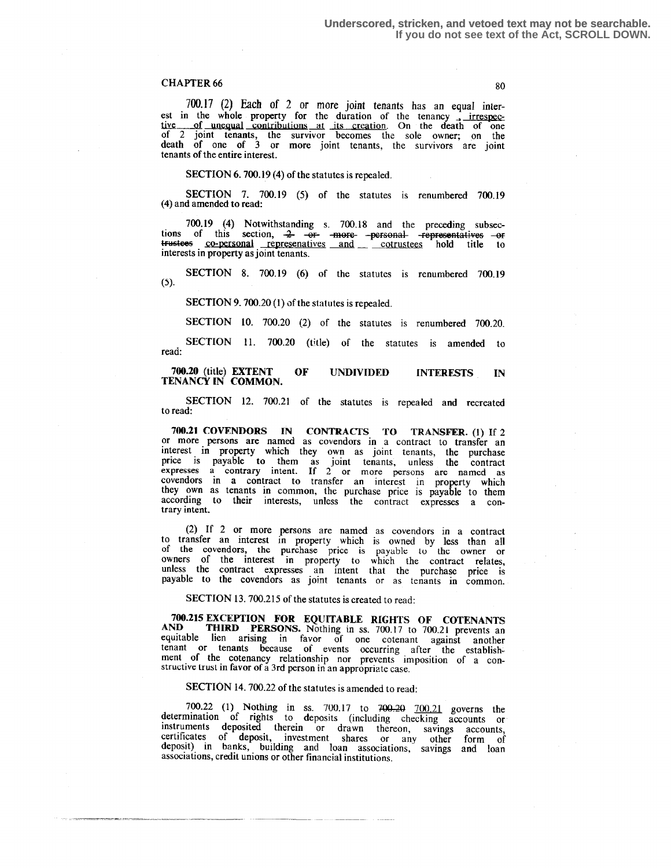#### **80**

700.17 (2) Each of 2 or more joint tenants has an equal interest in the whole property for the duration of the tenancy irrespec-<br>tive of unequal contributions at its creation. On the death of one<br>of 2 joint tenants, the survivor becomes the sole owner; on the death of one of 3 or more joint tenants, the survivors are joint tenants of the entire interest .

#### SECTION  $6.700.19(4)$  of the statutes is repealed.

SECTION 7. 700.19 (5) of the statutes is renumbered 700.19 (4) and amended to read:

700.19 (4) Notwithstanding s . 700.18 and the preceding subsections of this section,  $\frac{2}{2}$  or - more -personal representatives --or<br>trustees co-personal represenatives and cotrustees hold title to<br>interests in property as joint tenants interests in property as joint tenants.

SECTION 8. 700.19 (6) of the statutes is renumbered 700.19  $(5).$ 

SECTION 9. 700.20 (1) of the statutes is repealed.

SECTION 10. 700.20 (2) of the statutes is renumbered 700.20.

SECTION 11. 700.20 (title) of the statutes is amended to read<sup>.</sup>

# 700.20 (title) EXTENT OF UNDIVIDED INTERESTS IN TENANCY IN COMMON.

SECTION 12. 700.21 of the statutes is repealed and recreated to read:

700.21 COVENDORS IN CONTRACTS TO TRANSFER. (1) If 2 or more persons are named as covendors in a contract to transfer an interest in property which they own as joint tenants, the purchase price is payable to them as joint tenants, unless the contract expresses a contrary intent. If 2 or more persons are named as covendors in a contract to transfer an interest in property which they own as tenants in common, the purchase price is payable to them according to their interests, unless the contract expresses a contrary intent.

(2) If 2 or more persons are named as covendors in a contract to transfer an interest in property which is owned by less than ail of the covendors, the purchase price is payable to the owner or owners of the interest in property to which the contract relates, unless the contract expresses an intent that the purchase price is payable to the covendors as joint tenants or as tenants in common.

SECTION 13 . 700.215 of the statutes is created to read:

700.215 EXCEPTION FOR EQUITABLE RIGHTS OF COTENANTS<br>AND THIRD PERSONS. Nothing in ss. 700.17 to 700.21 prevents an THIRD PERSONS. Nothing in ss. 700.17 to 700.21 prevents an equitable lien arising in favor of one cotenant against another tenant or tenants because of events occurring after the establishment of the cotenancy relationship nor prevents imposition of a constructive trust in favor of a 3rd person in an appropriate case .

# SECTION 14. 700.22 of the statutes is amended to read:

700.22 (1) Nothing in ss. 700.17 to 700.20  $\frac{700.21}{100.21}$  governs the determination of rights to deposits (including checking accounts or instruments deposited therein or drawn thereon, savings accounts, certificates of deposit, investment shares or any other form of<br>deposit) in banks, building and loan associations, savings and loan<br>associations, credit unions or other financial institutions.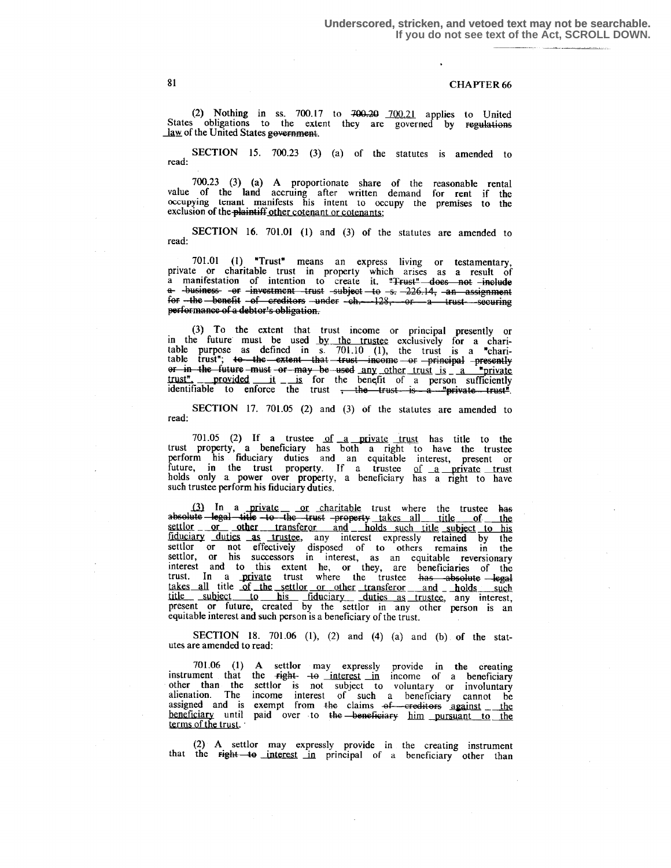(2) Nothing in ss. 700.17 to  $700.20$   $700.21$  applies to United States obligations to the extent they are governed by regulations law of the United States government.

SECTION 15. 700.23 (3) (a) of the statutes is amended to read:

700.23 (3) (a) A proportionate share of the reasonable rental value of the land accruing after written demand for rent if the occupying tenant manifests his intent to occupy the premises to the exclusion of the plaintiff other cotenant or cotenants;

SECTION 16. 701.01 (1) and (3) of the statutes are amended to read:

701.01 (1) "Trust" means an express living or testamentary, private or charitable trust in property which arises as a result of<br>a manifestation of intention to create it. "Frust" does not include a mannessanton or moment trust subject to s. 226.14, an assignment for -the benefit -of creditors -under -ch. -128, -or a trust securing performance of a debtor's obligation.

(3) To the extent that trust income or principal presently or<br>in the future must be used by the trustee exclusively for a chari-<br>table purpose as defined in  $\overline{s}$ . 701.10 (1), the trust is a "charitable trust"; to the extent that trust income or principal presently<br>or in the future must or may be used any other trust is a "private<br>trust", provided it is for the benefit of a person sufficiently<br>identifiable to enforc

SECTION 17. 701.05 (2) and (3) of the statutes are amended to read:

701.05 (2) If a trustee of  $a$  private trust has title to the trust property, a beneficiary has both a right to have the trustee<br>perform his fiduciary duties and an equitable interest, present or<br>future, in the trust property. If a trustee of a private trust<br>holds only a power over p such trustee perform his fiduciary duties.

(3) In a private or charitable trust where the trustee has absolute legal title to the trust property takes all title of the settlor or other transferor and holds such title of the settlor or other transferor and holds such title subject to his fiduciary duties as trustee, any interest expressly retained by the settlor or not effectively dispose takes all title of the settlor or other transferor and holds such title subject to his fiduciary duties as trustee, any interest, present or future, created by the settlor in any other person is an equitable interest and such person is a beneficiary of the trust.

**SECTION** 18. 701.06 (1), (2) and (4) (a) and (b) of the statutes are amended to read:

701.06 (1) A settlor may expressly provide in the creating<br>instrument that the right-  $\frac{1}{40}$  interest in income of a beneficiary other than the settlor is not subject to voluntary or involuntary<br>alienation. The income interest of such a beneficiary cannot be<br>assigned and is exempt from the claims of creditors against the beneficiary until paid over to the beneficiary him pursuant to the terms of the trust.

(2) A settlor may expressly provide in the creating instrument that the right-to interest in principal of a beneficiary other than

81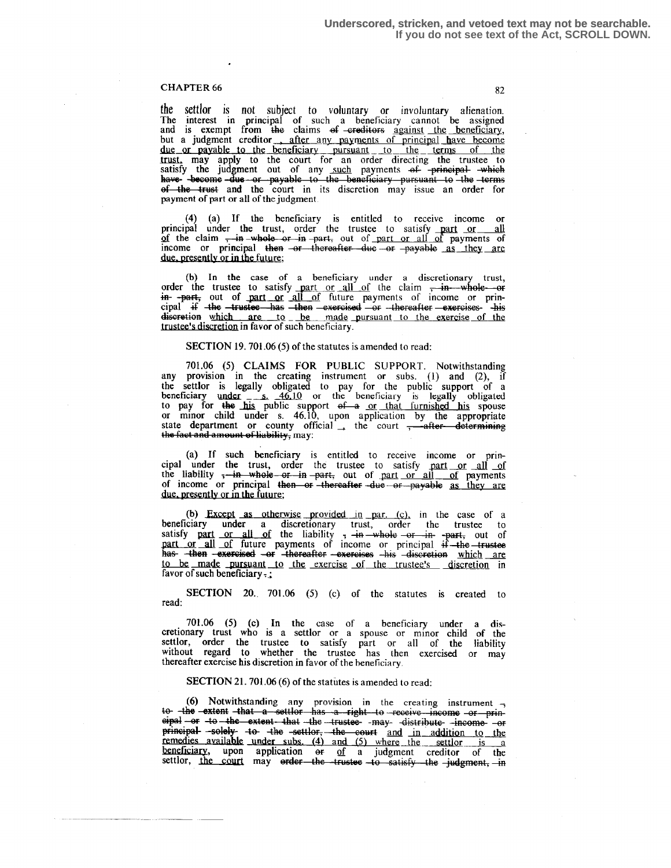the settlor is not subject to voluntary or involuntary alienation. The interest in principal of such a beneficiary cannot be assigned and is exempt from the claims of -ereditors against the beneficiary, but a judgment creditor , after any payments of principal have become due or payable to the beneficiary pursuant to the terms of the<br>trust, may apply to the court for an order directing the trustee to<br>satisfy the judgment out of any such payments of principal which<br>have become due or payable payment of part or all of the judgment.

(4) (a) If the beneficiary is entitled to receive income or principal under the trust, order the trustee to satisfy part or all of the claim  $\frac{1}{2}$  in whole or in part, out of part or all of payments of income or principal then  $-$ or thereafter due  $-$ or  $-p$ ayable as they are due. presently or in the future;

(b) In the case of a beneficiary under a discretionary trust, order the trustee to satisfy part or all of the claim  $\frac{1}{2}$  in-whole or  $\frac{1}{2}$  in  $\frac{1}{2}$  out of part or all of future payments of income or prinof the claim  $\frac{1}{2}$  and  $\frac{1}{2}$  and  $\frac{1}{2}$  and  $\frac{1}{2}$  and  $\frac{1}{2}$  are due, presently or in the future;<br>
(b) In the case of a beneficiary under a discretionary trust, order the trustee to satisfy part or all o discretion which are to be made pursuant to the exercise of the trustee's discretion in favor of such beneficiary.

#### SECTION 19.701.06 (5) of the statutes is amended to read:

<sup>701</sup> .06 (5) CLAIMS FOR PUBLIC SUPPORT. Notwithstanding any provision in the creating instrument or subs. (1) and (2), if the settlor is legally obligated to pay for the public support of a beneficiary under  $\frac{46.10}{10}$  or the beneficiary is legally obligated to pay for the his public support of a <u>or that furnished his</u> spouse or minor child under s. 46.10, upon application by the appropriate state department or county official  $\rightarrow$  the court  $\rightarrow$  after determining the fact a state department or county official  $\frac{1}{x}$  the court  $\frac{1}{x}$  after determining the fact and amount of liability, may:

(a) If such beneficiary is entitled to receive income or principal under the trust, order the trustee to satisfy part or all of the liability <del>; in whole or in part,</del> out of <u>part or all of</u> payments<br>of income or principal then or thereafter -due or payable <u>as they are</u><br>due precently or in the turnary due, presently or in the future;

(b) Except as otherwise provided in par.  $(c)$ , in the case of a beneficiary under a discretionary trust, order the trustee to satisfy part or all of the liability  $\frac{1}{7}$  -in whole -or -in- -part, out of part or all of future payments of income or principal if -the trustee has -then to be made pursuant to the exercise of the trustee's discretion in favor of such beneficiary  $\frac{1}{2}$ 

SECTION 20. 701.06 (5) (c) of the statutes is created to read:

701 .06 (5) (c) In the case of a beneficiary under a dis-cretionary trust who is a settlor or a spouse or minor child of the settlor, order the trustee to satisfy part or all of the liability without regard to whether the trustee has then exercised or may thereafter exercise his discretion in favor of the beneficiary .

## SECTION 21.701.06 (6) of the statutes is amended to read:

(6) Notwithstanding any provision in the creating instrument  $\rightarrow$ <br>to the extent that a settler has a right to receive income or prin-<br>eipal or to the extent that the trustee may distribute income or<br>principal solely to th principal-solely-to-the settler, the court and in addition to the remedies available under subs. (4) and (5) where the settlor is a beneficiary, upon application of  $\frac{of}{}$  a judgment creditor of the settlor, the court may erder the trustee to satisfy the judgment, in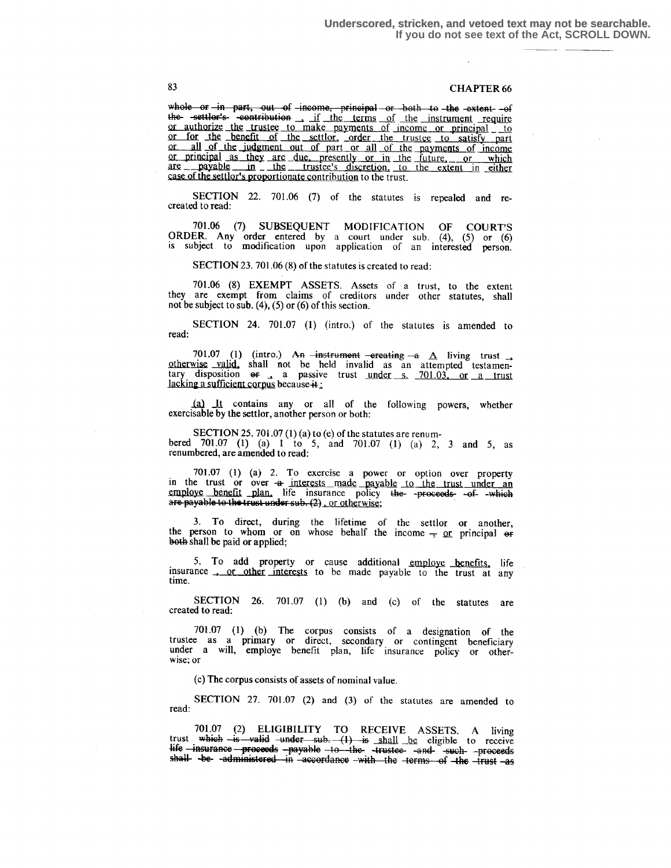whole or in part, out of income, principal or both to the extent -of the settler's contribution if the terms of the instrument require or authorize the trustee to make payments of income or principal \_ to or for the benefit of the settlor, order the trustee to satisfy part or all of the judgment out of part or all of the payments of income or principal as they are due, presently or in the future, or which  $\frac{\text{arc}}{\text{arc}} - \frac{\text{payable}}{\text{arc}} - \text{th} = \frac{\text{trustee's}}{\text{discretion}}$ , to the extent in either case of the settlor's proportionate contribution to the trust.

SECTION 22. 701.06 (7) of the statutes is repealed and recreated to read :

<sup>701</sup> .06 (7) SUBSEQUENT MODIFICATION OF COURT'S ORDER. Any order entered by a court under sub.  $(4)$ ,  $(5)$  or  $(6)$ is subject to modification upon application of an interested person.

SECTION 23. 701.06 (S) of the statutes is created to read:

<sup>701</sup> .06 (8) EXEMPT ASSETS. Assets of a trust, to the extent they are exempt from claims of creditors under other statutes, shall not be subject to sub. (4), (5) or (6) of this section.

SECTION 24. 701.07 (1) (intro.) of the statutes is amended to read:

701.07 (1) (intro.) An  $\overline{\text{--inertument}}$  -ereating  $\overline{\text{--a}}$  A living trust  $\overline{\text{--b}}$  otherwise valid, shall not be held invalid as an attempted testamentary disposition  $\overline{\text{--a}}$  a passive trust <u>under s. 701.03, or a </u> lacking a sufficient corpus because  $\ddot{\textbf{a}}$ :

\_W It contains any or all of the following powers, whether exercisable by the settlor, another person or both:

SECTION 25. 701.07 (1) (a) to (e) of the statutes are renumbered 701.07 (1) (a) 1 to 5, and 701.07 (1) (a) 2, 3 and 5, as renumbered, are amended to read:

701 .07 (1) (a) 2. To exercise a power or option over property in the trust or over  $a$  interests made payable to the trust under an employe benefit plan. life insurance policy the -proceeds- -ofe insurance policy <del>the -proceeds -of -which</del><br>sub. (2), <u>or otherwise</u>;  $(2)$ , or otherwise;

3. To direct, during the lifetime of the settlor or another, the person to whom or on whose behalf the income  $\frac{1}{2}$  or principal or behalf the income  $\frac{1}{2}$  or principal or another. both shall be paid or applied;

5. To add property or cause additional employe benefits, life insurance <u>or other interests</u> to be made payable to the trust at any time.

SECTION 26. 701.07 (1) (b) and (c) of the statutes are created to read:

 $701.07$  (1) (b) The corpus consists of a designation of the trustee as a primary or direct, secondary or contingent beneficiary under a will, employe benefit plan, life insurance policy or otherwise; or

(c) The corpus consists of assets of nominal value.

SECTION 27. 701.07 (2) and (3) of the statutes are amended to read:

<sup>701</sup> .07 (2) ELIGIBILITY TO RECEIVE ASSETS. A living trust which  $\frac{L}{B}$  valid -under sub. (1) is shall be eligible to receive 40 - mourance - proceeds -payable -to -the- -trustee- -and- -such- -proceeds<br>shall -be- -administered -in -accordance -with the -terms -of -the -trust -as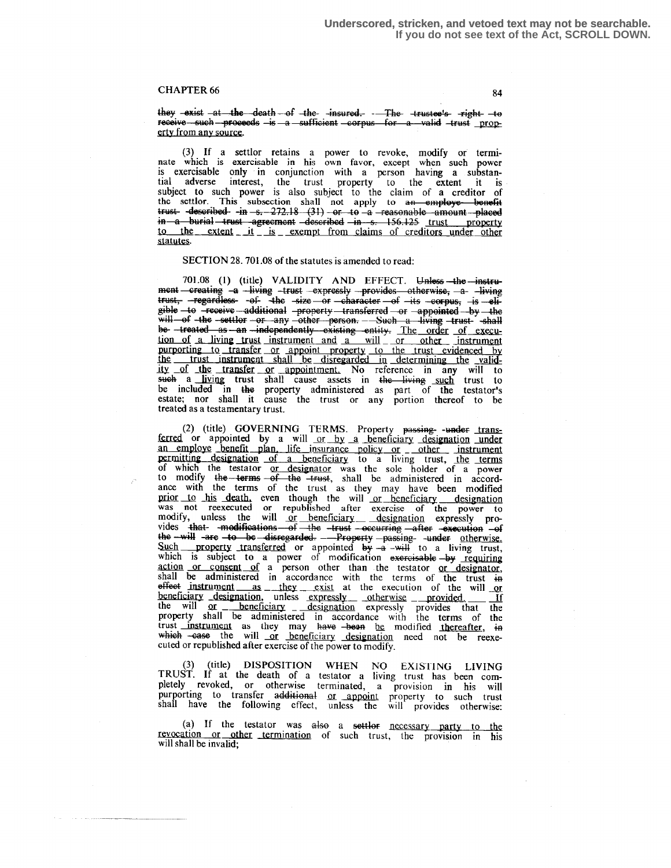they exist at the death of the insured. The trustee's right to receive such proceeds is a sufficient corpus for a valid trust property from any source.

(3) If a settlor retains a power to revoke, modify or terminate which is exercisable in his own favor, except when such power nate which is exercisable in his own favor, except when such power<br>is exercisable only in conjunction with a person having a substan-<br>tial adverse interest, the trust property to the extent it is<br>subject to such power is in a burial trust agreement described in s. 156.125 trust property to the extent it is exempt from claims of creditors under other statutes.

#### SECTION 28. 701.08 of the statutes is amended to read:

701.08 (1) (title) VALIDITY AND EFFECT. Unless the instrument—creating -a -living -trust -expressly -provides otherwise, -a -living<br>trust, -regardless- -of- -the -size -or -character -of -its -corpus, -is -eli $gible -to$  -receive additional -property -transferred - $or$  -appointed -by -the will of the settler or any other person. Such a living trust shall<br>be treated as an independently existing entity. The order of execu-<br>tion of a living trust instrument and a will or other instrument purporting to transfer or appoint property to the trust evidenced by<br>the trust instrument shall be disregarded in determining the valid-<br>ity of the transfer or appointment. No reference in any will to<br>such a living trust s be included in the property administered as part of the testator's estate; nor shall it cause the trust or any portion thereof to be treated as a testamentary trust.

(2) (title) GOVERNING TERMS. Property passing- under transferred or appointed by a will or by a beneficiary designation under an employe benefit plan, life insurance policy or other instrument an employe benefit plan, life insurance policy or other instrument<br>permitting designation of a beneficiary to a living trust, the terms<br>of which the testator or designator was the sole holder of a power<br>to modify the term which is subject to a power of modification exercisable -by requiring<br>action or consent of a person other than the testator or designator,<br>shall be administered in accordance with the terms of the trust in shall be administered in accordance with the terms of the trust in<br>the effect instrument as they exist at the execution of the will or<br>beneficiary designation, unless expressly otherwise provided. If<br>the will or beneficiar cuted or republished after exercise of the power to modify.

(3) (title) DISPOSITION WHEN NO EXISTING LIVING<br>TRUST. If at the death of a testator a living trust has been com-(title) DISPOSITION WHEN NO EXISTING LIVING pletely revoked, or otherwise terminated, a provision in his will purporting to transfer additional or appoint property to such trust<br>shall have the following effect, unless the will provides otherwise:

(a) If the testator was also a settlor necessary party to the revocation or other termination of such trust, the provision in his will shall be invalid;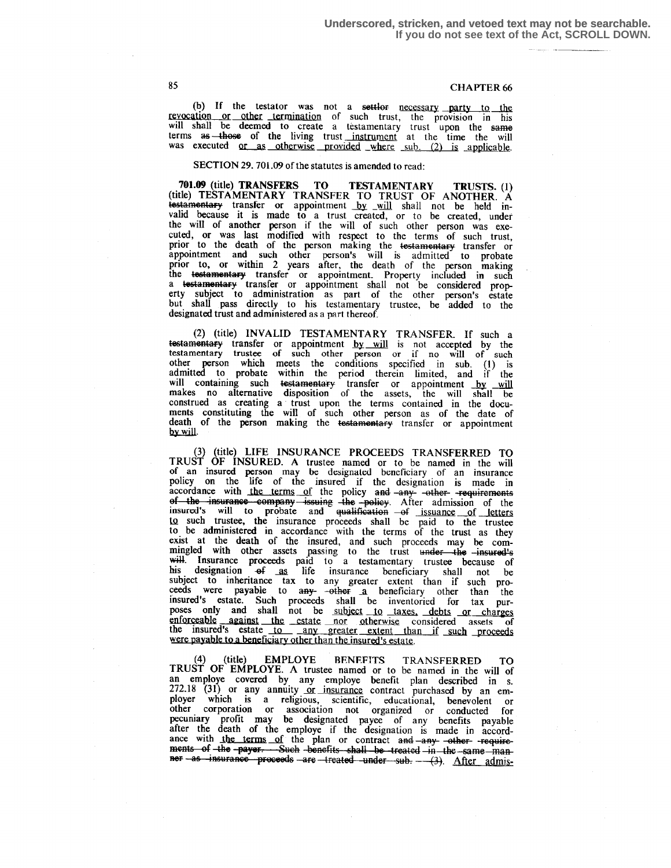(b) If the testator was not a settler necessary party to the revocation or other termination of such trust, the provision in his will shall be deemed to create a testamentary trust upon the same terms as those of the living trust instrument at the time the will was executed or as otherwise provided where sub. (2) is applicable.

#### SECTION 29, 701.09 of the statutes is amended to read:

701.09 (title) TRANSFERS TO TESTAMENTARY TRUSTS. (1) (title) TESTAMENTARY TRANSFER TO TRUST OF ANOTHER. A testamentary transfer or appointment <u>by will</u> shall not be held invalid because it is made to a trust created, or to be created, under the will of grather games if the well of the will of another person if the will of such other person was executed, or was last modified with respect to the terms of such trust, prior to the death of the person making the testamentary transfer or appointment and such other person's will is admitted to probate prior to, or within 2 years after, the death of the person making the testamentary transfer or appointment. Property included in such a lestamentary transfer or appointment shall not be considered property subject to administration as part of the other person's estate but shall pass directly to his testamentary trustee, be added to the designated trust and administered as a part thereof.

(2) (title) INVALID TESTAMENTARY TRANSFER. If such a testamentary transfer or appointment by will is not accepted by the testamentary trustee of such other person or if no will of such other person which meets the conditions specified in sub. (1) is admitted to probate within the period therein limited, and if the will containing such <del>testamentary</del> transfer or appointment <u>by will</u> makes no alternative disposition of the assets, the will shall be construed as creating a trust upon the terms contained in the documents constituting the will of such other person as of the date of death of the person making the <del>testamentary</del> transfer or appointment by will.

(3) (title) LIFE INSURANCE PROCEEDS TRANSFERRED TO TRUST OF INSURED. A trustee named or to be named in the will of an insured person may be designated beneficiary of an insurance policy on the life of the insured if the designation is made in accordance with the terms of the policy and -any- -other- -requirements of the insurance company issuing the policy. After admission of the insured's will to probate and qualification  $-$ of issuance of letters Lo such trustee, the insurance proceeds shall be paid to the trustee to be administered in accordance with the terms of the trust as they exist at the death of the insured, and such proceeds may be com-<br>minoled with other assets peaces to the contract of mingled with other assets passing to the trust <del>under the -insured's</del><br>will insurance proceeds paid to a testamentary trustee because of his designation  $\theta$  as life insurance beneficiary shall not be subject to inheritance tax to any greater extent than if such proceeds were payable to  $\frac{a_1}{a_2}$  -other-  $\frac{a_1}{a_2}$  beneficiary other than the insured's estate . Such proceeds shall be inventoried for tax purposes only and shall not be subject to taxes, debts or charges enforceable against the estate nor otherwise considered assets of the insured's estate to any greater extent than if such proceeds were payable to a beneficiary other than the insured's estate.

(4) (title) EMPLOYE BENEFITS TRANSFERRED TO TRUST OF EMPLOYE. A trustee named or to be named in the will of an employe covered by any employe benefit plan described in s.  $272.18$  (31) or any annuity or insurance contract purchased by an employer which is a religious, scientific, educational, benevolent or other corporation or association not organized or conducted for pecuniary profit may be designated payee of any benefits payable after the death of the employe if the designation is made in accord-<br>ance with the terms of the plan or contract and any other requirements of the payer. Such benefits shall be treated in the same man-<br>ner as insurance proceeds are treated under sub. - (3). After admis-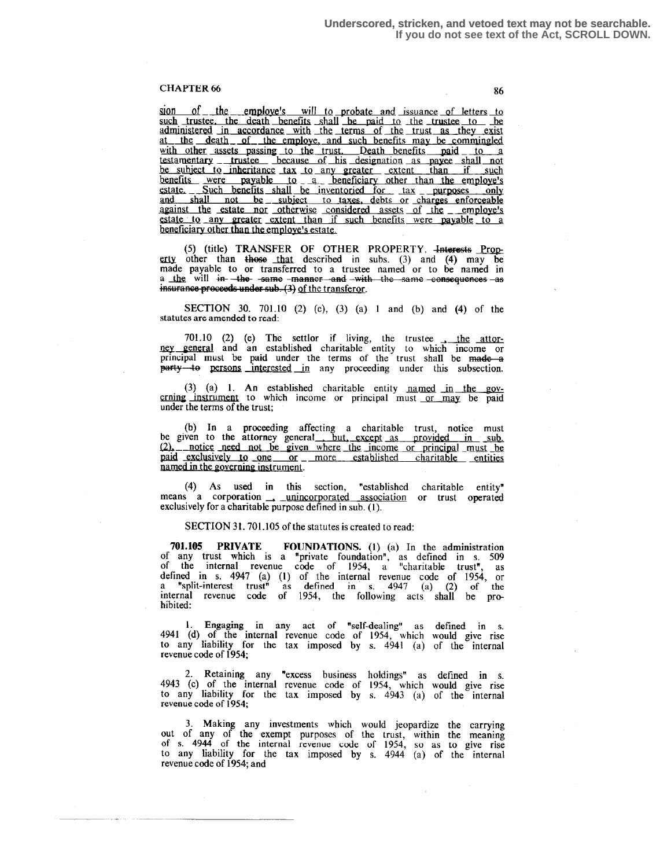sion of the employe's will to probate and issuance of letters to such trustee, the death benefits shall be paid to the trustee to be administered in accordance with the terms of the trust as they exist at the death of the employe, and such benefits may be commingled with other assets passing to the trust. Death benefits paid to a testamentary trustee because of his designation as payee shall not be subject to inheritance tax to any greater extent than if such benefits were payable to a beneficiary other than the employe's<br>estate . Such benefits shall be inventoried for tax purposes only and shall not be subject to taxes, debts or charges enforceable against the estate nor otherwise considered assets of the employe's estate to any greater extent than if such benefits were payable to a against the estate nor otherwise considered assets of the employe's estate to any greater extent than if such benefits were payable to a beneficiary other than the employe's estate.

(5) (title) TRANSFER OF OTHER PROPERTY. Interests Property other than those that described in subs. (3) and (4) may be made payable to or transferred to a trustee named or to be named in a <u>the</u> will <del>in the same -manner and -with the same consequences as</del> proceeds under sub. (3) <u>of the transferor</u>.

SECTION 30. 701 .10 (2) (e), (3) (a) 1 and (b) and (4) of the statutes are amended to read:

701.10 (2) (e) The settlor if living, the trustee  $\frac{1}{\sqrt{1-\frac{1}{1-\frac{1}{1-\frac{1}{1-\frac{1}{1-\frac{1}{1-\frac{1}{1-\frac{1}{1-\frac{1}{1-\frac{1}{1-\frac{1}{1-\frac{1}{1-\frac{1}{1-\frac{1}{1-\frac{1}{1-\frac{1}{1-\frac{1}{1-\frac{1}{1-\frac{1}{1-\frac{1}{1-\frac{1}{1-\frac{1}{1-\frac{1}{1-\frac{1}{1-\frac{1}{1-\frac{1}{1-\frac{1}{1-\frac{1}{$ ney general and an established charitable entity to which income or principal must be paid under the terms of the trust shall be made a party-to persons interested in any proceeding under this subsection.

(3) (a) 1. An established charitable entity named in the governing instrument to which income or principal must or may be paid under the terms of the trust;

(b) In a proceeding affecting a charitable trust, notice must<br>be given to the attorney general<u>, but, except as provided in sub.</u><br> $(2)$ , notice need not be given where the income or principal must be<br>naid exclusively to o paid exclusively to one or more established charitable entities named in the governing instrument.

(4) As used in this section, "established charitable entity"<br>means a corporation <u>unincorporated association</u> or trust operated<br>exclusively for a charitable purpose defined in sub (1) exclusively for a charitable purpose defined in sub. (1).

SECTION 31.701.105 of the statutes is created to read:

701.105 PRIVATE FOUNDATIONS. (1) (a) In the administration of any trust which is a "private foundation", as defined in s. 509 of the internal revenue code of 1954, a "charitable trust", as defined in s . 4947 (a) (1) of the internal revenue code of 1954, or a "split-interest trust" as defined in s . 4947 (a) (2) of the internal revenue code of 1954, the following acts shall be prohibited:

<sup>1</sup> . Engaging in any act of "self-dealing" as defined in s. 4941 (d) of the internal revenue code of 1954, which would give rise to any liability for the tax imposed by s. 4941 (a) of the internal revenue code of 1954;

2 . Retaining any "excess business holdings" as defined in s. 4943 (c) of the internal revenue code of 1954, which would give rise to any liability for the tax imposed by s. 4943 (a) of the internal revenue code of 1954;

<sup>3</sup> . Making any investments which would jeopardize the carrying out of any of the exempt purposes of the trust, within the meaning of s . 4944 of the internal revenue code of 1954, so as to give rise to any liability for the tax imposed by s.  $4944$  (a) of the internal revenue code of 1954; and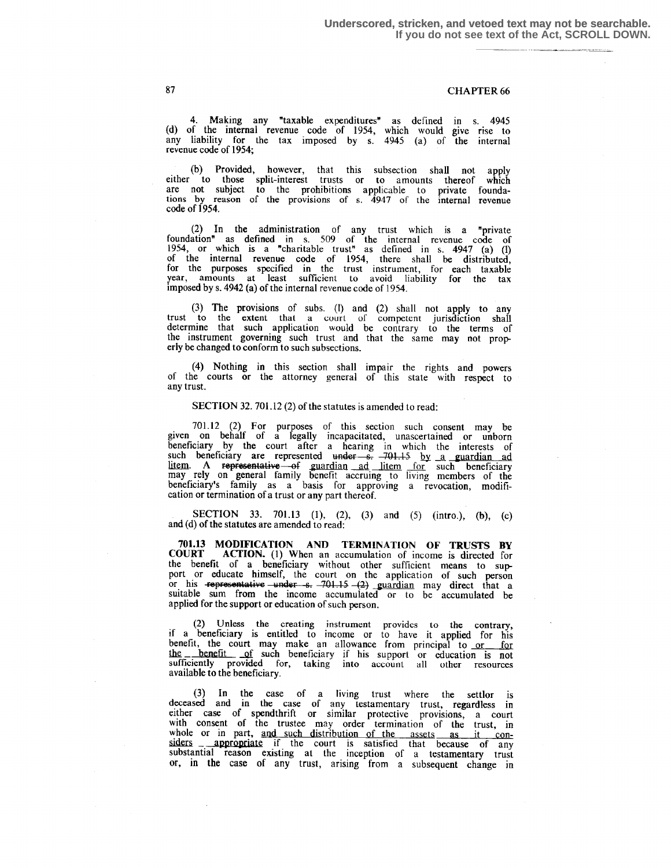4. Making any "taxable expenditures" as defined in s. 4945 (d) of the internal revenue code of 1954, which would give rise to any liability for the tax imposed by s. 4945 (a) of the internal revenue code of 1954;

(b) Provided, however, that this subsection shall not apply either to those split-interest trusts or to amounts thereof which are not subject to the prohibitions applicable to private foundations by reason of the provisions of s. 4947 of the internal revenue code of 1954.

(2) In the administration of any trust which is a "private foundation" as defined in s. 509 of the internal revenue code of 1954, or which is a "charitable trust" as defined in s . 4947 (a) (1) of the internal revenue code of 1954, there shall be distributed, for the purposes specified in the trust instrument, for each taxable year, amounts at least sufficient to avoid liability for the tax imposed by s. 4942 (a) of the internal revenue code of 1954.

(3) The provisions of subs. (1) and (2) shall not apply to any trust to the extent that a court of competent jurisdiction shall determine that such application would be contrary to the terms of the instrument governing such trust and that the same may not properly be changed to conform to such subsections .

(4) Nothing in this section shall impair the rights and powers of the courts or the attorney general of this state with respect to any trust.

#### SECTION 32. 701.12 (2) of the statutes is amended to read:

701 .12 (2) For purposes of this section such consent may be given on behalf of a legally incapacitated, unascertained or unborn beneficiary by the court after a hearing in which the interests of<br>such beneficiary are represented under  $-$ s.  $-701.15$  by a guardian ad<br>litem. A representative of guardian ad litem for such beneficiary<br>may rely on gene beneficiary's family as a basis for approving a revocation, modification or termination of a trust or any part thereof.

SECTION 33. 701.13 (1), (2), (3) and (5) (intro.), (b), (c) and (d) of the statutes are amended to read:

701.13 MODIFICATION AND TERMINATION OF TRUSTS BY COURT ACTION. (1) When an accumulation of income is directed for ACTION. (1) When an accumulation of income is directed for the benefit of a beneficiary without other sufficient means to support or educate himself, the court on the application of such person or his **representative under s.**  $-701.15 - (2)$  guardian may direct that a suitable sum from the income accumulated or to be accumulated be applied for the support or education of such person.

(2) Unless the creating instrument provides to the contrary, if a beneficiary is entitled to income or to have it applied for his benefit, the court may make an allowance from principal to <u>or for</u> the benefit of such beneficiary if his support or education is not sufficiently provided for, taking into account all other resources available to the beneficiary.

(3) In the case of a living trust where the settlor is deceased and in the case of any testamentary trust, regardless in either case of spendthrift or similar protective provisions, a court with consent of the trustee may order termination of the trust, in whole or in part, and such distribution of the assets as it con-<br>siders  $-\frac{2}{\pi}$  appropriate if the court is satisfied that because of any substantial reason existing at the inception of a testamentary trust or, in the case of any trust, arising from a subsequent change in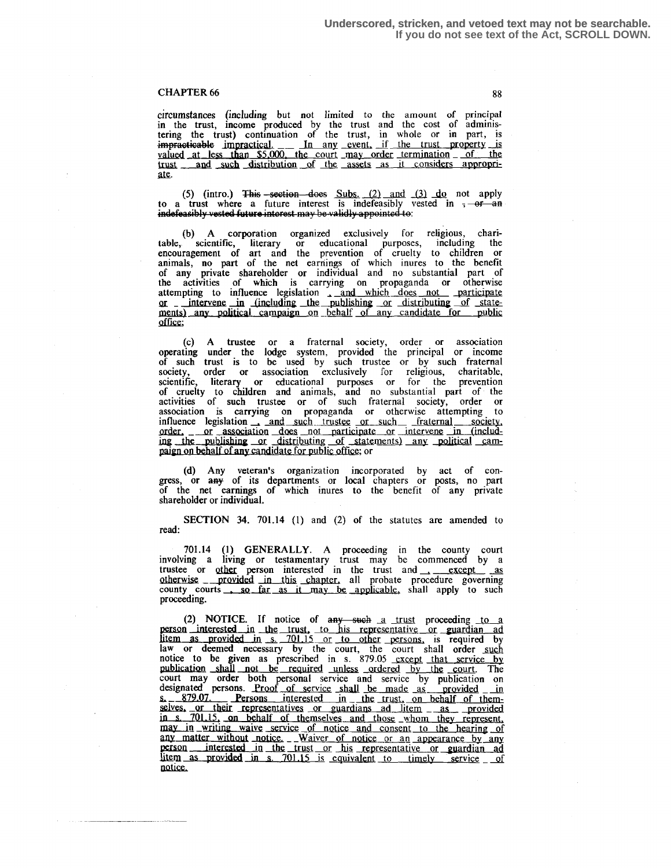#### CHAPTER 66 gg metal and the state of the state of the state of the state of the state of the state of the state of the state of the state of the state of the state of the state of the state of the state of the state of the

circumstances (including but not limited to the amount of principal in the trust, income produced by the trust and the cost of administering the trust) continuation of the trust, in whole or in part, is ig the trust) continuation of the trust, in<br>
racticable impractical. The any event, if<br>
ed at less than \$5,000, the court may order impracticable impractical. In any event, if the trust property is<br>valued at less than \$5,000, the court may order termination announce trust and such distribution of the assets as it considers appropri-<br>ate.

(5) (intro.) This -section does Subs. (2) and (3) do not apply to a trust where a future interest is indefeasibly vested in  $\frac{1}{2}$  -or an indefeasibly vested future interest may be validly appointed to:  $\,$ 

(b) A corporation organized exclusively for religious, chari-<br>table, scientific, literary or educational purposes, including the encouragement of art and the prevention of cruelty to children or animals, no part of the net earnings of which inures to the benefit of any private shareholder or individual and no substantial part of the activities of which is carrying on propaganda or otherwise<br>attempting to influence legislation and which does not -participate or - intervene in (including the publishing or distributing of statements) any political campaign on behalf of any candidate for public office;

(c) A trustee or a fraternal society, order or association operating under the lodge system, provided the principal or income of such trust is to be used by such trustee or by such fraternal society, order or association exclusively for religious, charitable, scientific, literary or educational purposes or for the prevention of cruelty to children and animals, and no substantial part of the activities of such trustee or of such fraternal society, order or association is carrying on propaganda or otherwise attempting to<br>influence legislation and such trustee or such fraternal society,<br>order, or association does not participate or intervene in (includ-<br>ing the publishing or d paign on behalf of any candidate for public office; or

(d) Any veteran's organization incorporated by act of congress, or any of its departments or local chapters or posts, no part of the net earnings of which inures to the benefit of any private shareholder or individual.

SECTION 34. 701.14 (1) and (2) of the statutes are amended to read:

<sup>701</sup> .14 (1) GENERALLY. A proceeding in the county court 701.14 (1) GENERALLY. A proceeding in the county court<br>involving a living or testamentary trust may be commenced by a<br>trustee or other person interested in the trust and <u>- except as</u><br>otherwise provided in this chapter, al otherwise provided in this chapter, all probate procedure governing<br>county courts <u>so far as it may be applicable</u>, shall apply to such<br>proceeding proceeding.

(2) NOTICE. If notice of  $\frac{any - such}{1}$  a trust proceeding to a person interested in the trust, to his representative or guardian ad litem as provided in s. 701.15 or to other persons, is required by law or deemed necessary by the court, the court shall order such notice to be given as prescribed in s. 879.05 except that service by publication shall not be required unless ordered by the court. The court may order both personal service and service by publication on designated persons. Proof of service shall be made as provided in s. 879.07. Persons interested in the trust, on behalf of them-<br>selves. or their representatives or guardians ad litem as provided in s. 701.15, on behalf of themselves and those whom they represent, may in writing waive service of notice and consent to the hearing of any matter without notice, Waiver of notice or an appearance by any person interested in the trust or his representative or guardian ad  $\frac{1}{10}$  as provided in s . 701.15 is equivalent to timely service of notice.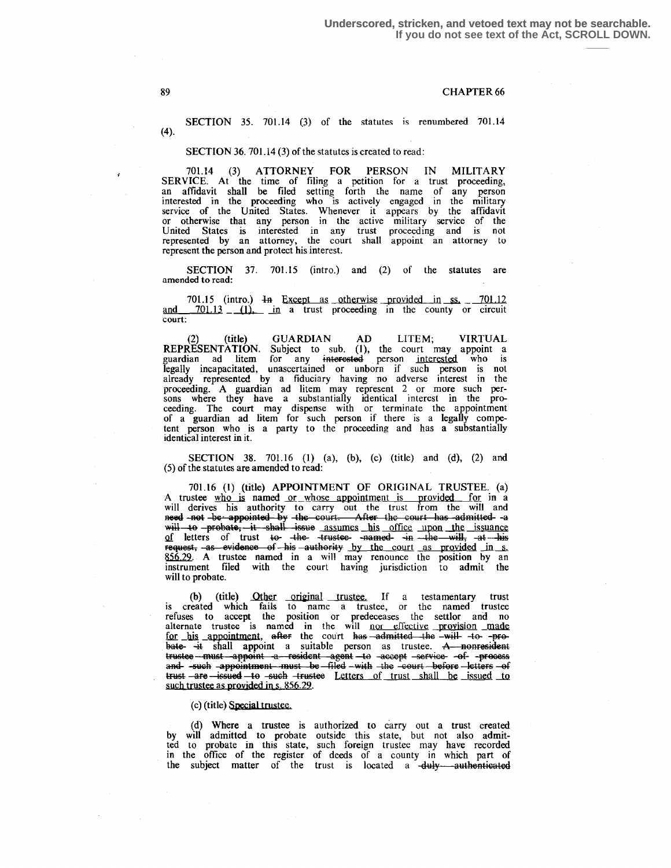SECTION 35. 701.14 (3) of the statutes is renumbered 701.14  $(4)$ .

#### SECTION 36. 701.14 (3) of the statutes is created to read:

<sup>701</sup> .14 (3) ATTORNEY FOR PERSON IN MILITARY SERVICE. At the time of filing a petition for a trust proceeding, an affidavit shall be filed setting forth the name of any person interested in the proceeding who is actively engaged in the military service of the United States. Whenever it appears by the affidavit or otherwise that any person in the active military service of the United States is interested in any trust proceeding and is not represented by an attorney, the court shall appoint an attorney to represent the person and protect his interest .

SECTION 37. 701.15 (intro.) and (2) of the statutes are amended to read:

701.15 (intro.)  $\overline{4}$  Except as otherwise provided in ss.  $\frac{701.12}{2}$ and  $\frac{701.13}{ }$   $\frac{11}{ }$  in a trust proceeding in the county or circuit court:

(2) (title) GUARDIAN AD LITEM; VIRTUAL REPRESENTATION. Subject to sub. (1), the court may appoint a guardian ad litem for any interested person interested who is legally incapacitated, unascertained or unborn if such person is not already represented by a fiduciary having no adverse interest in the proceeding. A guardian ad litem may represent 2 or more such per-sons where they have a substantially identical interest in the proceeding . The court may dispense with or terminate the appointment of a guardian ad litem for such person if there is a legally competent person who is a party to the proceeding and has a substantially identical interest in it .

SECTION 38. 701.16 (1) (a), (b), (c) (title) and (d), (2) and (5) of the statutes are amended to read :

701.16 (1) (title) APPOINTMENT OF ORIGINAL TRUSTEE. (a)<br>A trustee who is named <u>or whose appointment is provided</u> for in a A trustee who is named or whose appointment is provided for in a will derives his authority to carry out the trust from the will and A trustee who is named or whose appointment is provided for in a<br>will derives his authority to carry out the trust from the will and<br>need-not-be-appointed by the court. After the court has -admitted-a-<br>will to -probate, -i 856.29. A trustee named in a will may renounce the position by an instrument filed with the court having jurisdiction to admit the will to probate.

(b) (title) Other original trustee. If a testamentary trust is created which fails to name a trustee, or the named trustee refuses to accept the position or predeceases the settlor and no alternate trustee is named in the will <u>nor effective provision made</u><br>
<u>for his appointment</u>, after the court has admitted the will to -pro-<br>
bate it shall appoint a suitable person as trustee. A—popresident bate- it shall appoint a suitable person as trustee. A nonresident appoint a resident agent to accept service -of- process a<del>nd-</del> -such -appointment -must be -filed -with -the -court -before -letters -of trust -are -issued -to -such -trustee Letters of trust shall be issued to such trustee as provided in s. 856.29.

(c) (title) Special trustee .

(d) Where a trustee is authorized to carry out a trust created by will admitted to probate outside this state, but not also admit-ted to probate in this state, such foreign trustee may have recorded in the office of the register of deeds of a county in which part of the subject matter of the trust is located a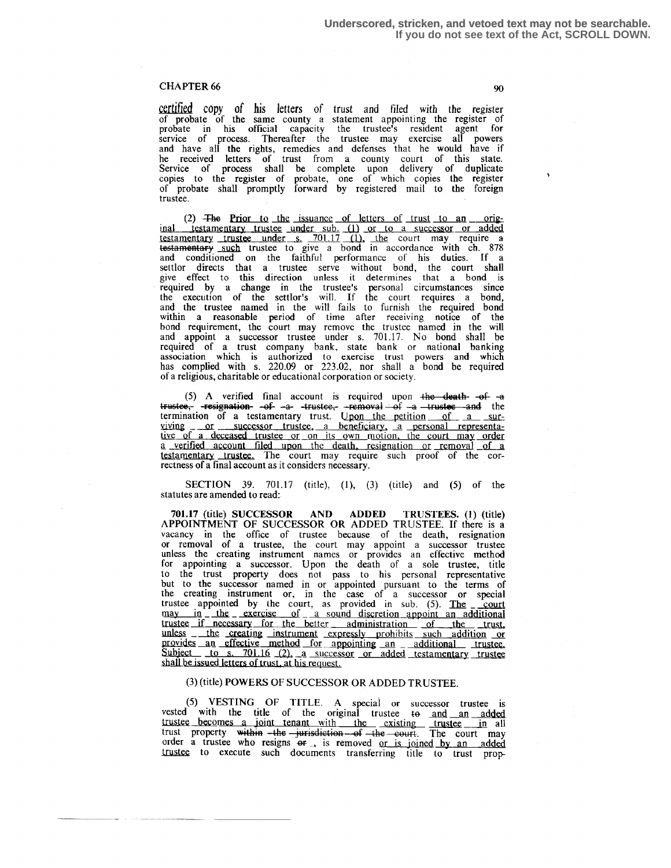certified copy of his letters of trust and filed with the register of probate of the same county a statement appointing the register of probate in his official capacity the trustee's resident agent for service of process . Thereafter the trustee may exercise all powers and have all the rights, remedies and defenses that he would have if he received letters of trust from a county court of this state. Service of process shall be complete upon delivery of duplicate copies to the register of probate, one of which copies the register of probate shall promptly forward by registered mail to the foreign trustee .

(2)  $\overline{F}$  **Fhe** Prior to the issuance of letters of trust to an orig-(2) The Prior to the issuance of letters of trust to an original testamentary trustee under sub. (1) or to a successor or added testamentary trustee under s. 701.17 (1), the court may require a such trustee to give a bond in accordance with ch. 878 and conditioned on the faithful performance of his duties . If a settlor directs that a trustee serve without bond, the court shall give effect to this direction unless it determines that a bond is required by a change in the trustee's personal circumstances since the execution of the settlor's will . If the court requires a bond, and the trustee named in the will fails to furnish the required bond within a reasonable period of time after receiving notice of the bond requirement, the court may remove the trustee named in the will and appoint a successor trustee under s. 701.17. No bond shall be required of a trust company bank, state bank or national banking association which is authorized to exercise trust powers and which has complied with s.  $220.09$  or  $223.02$ , nor shall a bond be required of a religious, charitable or educational corporation or society . requirement, the court may remove the trustee named in the will<br>appoint a successor trustee under s. 701.17. No bond shall be<br>ed of a trust company bank, state bank or national banking<br>ation which is authorized to exercis

t<del>rustee, -resignation -of -a- -trustee, -removal of -a -trustee and</del> the termination of a testamentary trust. Upon the petition of a surviving or successor trustee, a beneficiary, a personal representa-<br>tive of a deceased trustee or on its own motion, the court may order a verified account filed upon the death, resignation or removal of a testamentary trustee. The court may require such proof of the correctness of a final account as it considers necessary .

SECTION 39. 701.17 (title), (1), (3) (title) and (5) of the statutes are amended to read:

701.17 (title) SUCCESSOR AND ADDED TRUSTEES. (i) (title) APPOINTMENT OF SUCCESSOR OR ADDED TRUSTEE. If there is a vacancy in the office of trustee because of the death, resignation or removal of a trustee, the court may appoint a successor trustee unless the creating instrument names or provides an effective method for appointing a successor . Upon the death of a sole trustee, title to the trust property does not pass to his personal representative but to the successor named in or appointed pursuant to the terms of the creating instrument or, in the case of a successor or special trustee appointed by the court, as provided in sub. (5). The court may in the exercise of a sound discretion appoint an additional trustee if necessary for the better administration of the trust, unless \_ the creating instrument expressly prohibits such addition or provides an effective method for appointing an additional trustee.<br>Subject to s. 701.16 (2), a successor or added testamentary trustee shall be issued letters of trust, at his request.

#### (3) (title) POWERS OF SUCCESSOR OR ADDED TRUSTEE.

(5) VESTING OF TITLE. A special or successor trustee is vested with the title of the original trustee te and an added trustee becomes a ioint tenant with the existing trustee in all trust property w" -t-he ietien --~¬ -4hO . The court may order a trustee who resigns or  $\rightarrow$  is removed or is joined by an added trustee to execute such documents transferring title to trust prop-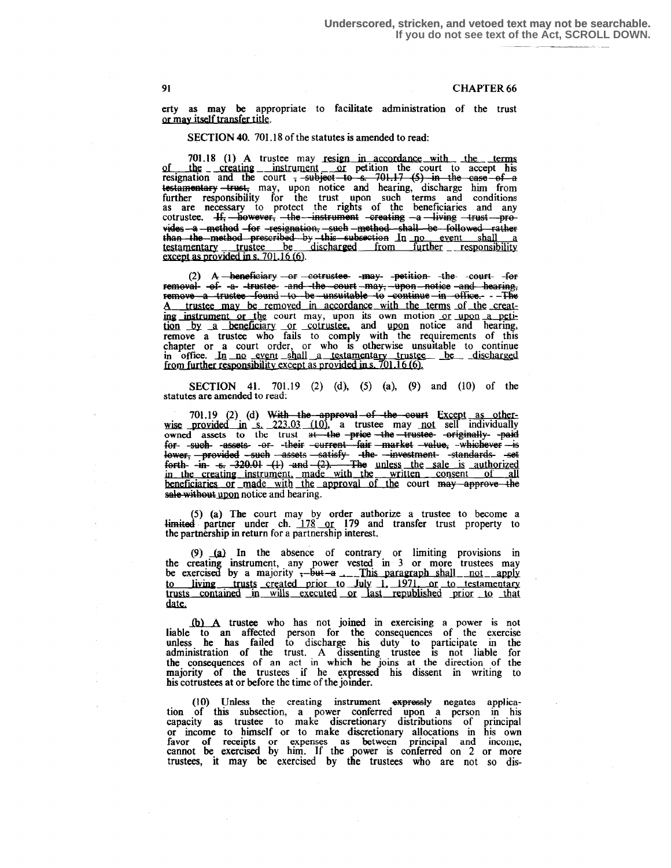erty as may be appropriate to facilitate administration of the trust or may itself transfer title.

SECTION 40. 701.18 of the statutes is amended to read:

701.18 (1) A trustee may resign in accordance with the terms of the creating instrument or petition the court to accept his resignation and the court <del>, subject to s. 701.17 (5) in the case of a</del> testamentary trust, may, upon notice and hearing, discharge him from<br>further responsibility for the trust upon such terms and conditions<br>as are necessary to protect the rights of the beneficiaries and any<br>cotrustee. <del>If, h</del> vides -a method for resignation, such method shall be followed rather than the method prescribed by this subsection In no event shall a<br>testamentary trustee be discharged from further responsibility<br>except as provided in s. 701.16 (6).

(2) A beneficiary or cotrustee may petition the court for removal- of- -a- -trustee- -and -the-court -may, -upon -notice -and hearing, remove a trustee found to be unsuitable to continue in office. - The A trustee may be removed in accordance with the terms of the creating instrument or the court may, upon its own motion or upon a peti-<br>tion by a beneficiary or cotrustee, and upon notice and hearing,<br>remove a trustee who fails to comply with the requirements of this<br>chapter or a court or in office. In no event shall a testamentary trustee be discharged<br>from further responsibility except as provided in s. 701.16(6).

SECTION 41. 701.19 (2) (d), (5) (a), (9) and (10) of the statutes are amended to read:

701.19 (2) (d) With the approval of the court Except as other-701.19 (2) (d) With the approval of the court Except as other-<br>wise provided in s. 223.03 (10), a trustee may not sell individually<br>owned assets to the trust at the price the trustee originally owned<br>for such assets or th sale without upon notice and hearing.

(5) (a) The court may by order authorize a trustee to become a  $\frac{1}{\text{limited}}$  partner under ch. 178 or 179 and transfer trust property to the partnership in return for a partnership interest.

(9) (a) In the absence of contrary or limiting provisions in<br>the creating instrument, any power vested in 3 or more trustees may<br>be exercised by a majority  $\frac{1}{2}$ -but-a ... This paragraph shall not apply<br>to living trus date.

(b) A trustee who has not joined in exercising a power is not liable to an affected person for the consequences of the exercise<br>unless he has failed to discharge his duty to participate in the<br>administration of the trust. A dissenting trustee is not liable for the consequences of an act in which he joins at the direction of the majority of the trustees if he expressed his dissent in writing to his cotrustees at or before the time of the joinder.

(10) Unless the creating instrument expressly negates application of this subsection, a power conferred upon a person in his capacity as trustee to make discretionary distributions of principal capacity as disacted for to make discretionary allocations in his own<br>favor of receipts or expenses as between principal and income,<br>cannot be exercised by him. If the power is conferred on 2 or more<br>trustees, it may be ex

91